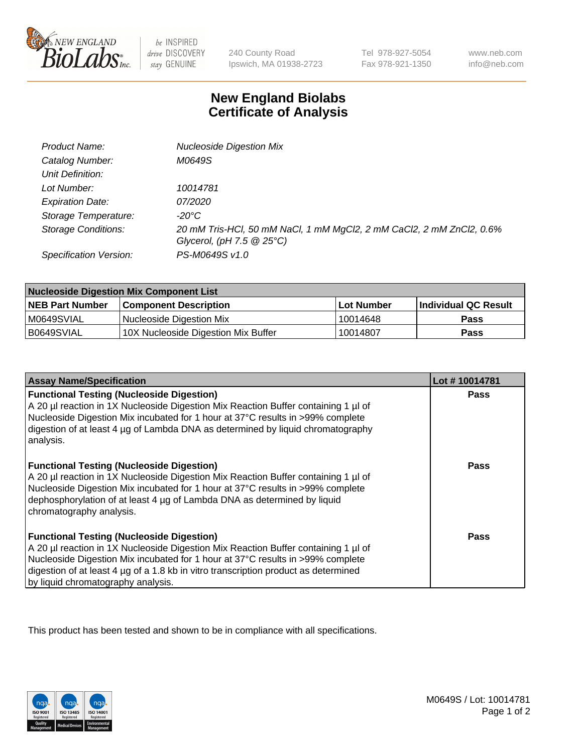

be INSPIRED drive DISCOVERY stay GENUINE

240 County Road Ipswich, MA 01938-2723

Tel 978-927-5054 Fax 978-921-1350

www.neb.com info@neb.com

## **New England Biolabs Certificate of Analysis**

| Product Name:              | <b>Nucleoside Digestion Mix</b>                                      |
|----------------------------|----------------------------------------------------------------------|
| Catalog Number:            | M0649S                                                               |
| Unit Definition:           |                                                                      |
| Lot Number:                | 10014781                                                             |
| <b>Expiration Date:</b>    | <i>07/2020</i>                                                       |
| Storage Temperature:       | -20°C                                                                |
| <b>Storage Conditions:</b> | 20 mM Tris-HCl, 50 mM NaCl, 1 mM MgCl2, 2 mM CaCl2, 2 mM ZnCl2, 0.6% |
|                            | Glycerol, (pH $7.5 \ @ 25^{\circ}C$ )                                |
| Specification Version:     | PS-M0649S v1.0                                                       |

| <b>Nucleoside Digestion Mix Component List</b> |                                     |            |                      |  |
|------------------------------------------------|-------------------------------------|------------|----------------------|--|
| <b>NEB Part Number</b>                         | <b>Component Description</b>        | Lot Number | Individual QC Result |  |
| M0649SVIAL                                     | Nucleoside Digestion Mix            | 10014648   | <b>Pass</b>          |  |
| B0649SVIAL                                     | 10X Nucleoside Digestion Mix Buffer | 10014807   | Pass                 |  |

| <b>Assay Name/Specification</b>                                                                                                                                                                                                                                                                                                                       | Lot #10014781 |
|-------------------------------------------------------------------------------------------------------------------------------------------------------------------------------------------------------------------------------------------------------------------------------------------------------------------------------------------------------|---------------|
| <b>Functional Testing (Nucleoside Digestion)</b><br>A 20 µl reaction in 1X Nucleoside Digestion Mix Reaction Buffer containing 1 µl of<br>Nucleoside Digestion Mix incubated for 1 hour at 37°C results in >99% complete<br>digestion of at least 4 µg of Lambda DNA as determined by liquid chromatography<br>analysis.                              | <b>Pass</b>   |
| <b>Functional Testing (Nucleoside Digestion)</b><br>A 20 µl reaction in 1X Nucleoside Digestion Mix Reaction Buffer containing 1 µl of<br>Nucleoside Digestion Mix incubated for 1 hour at 37°C results in >99% complete<br>dephosphorylation of at least 4 µg of Lambda DNA as determined by liquid<br>chromatography analysis.                      | <b>Pass</b>   |
| <b>Functional Testing (Nucleoside Digestion)</b><br>A 20 µl reaction in 1X Nucleoside Digestion Mix Reaction Buffer containing 1 µl of<br>Nucleoside Digestion Mix incubated for 1 hour at 37°C results in >99% complete<br>digestion of at least 4 µg of a 1.8 kb in vitro transcription product as determined<br>by liquid chromatography analysis. | Pass          |

This product has been tested and shown to be in compliance with all specifications.